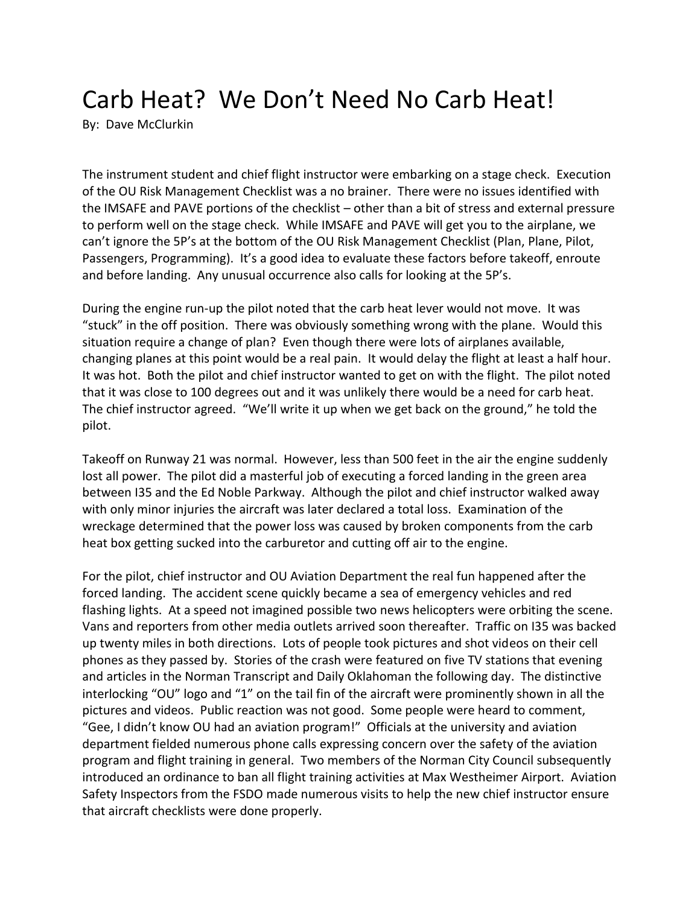## Carb Heat? We Don't Need No Carb Heat!

By: Dave McClurkin

The instrument student and chief flight instructor were embarking on a stage check. Execution of the OU Risk Management Checklist was a no brainer. There were no issues identified with the IMSAFE and PAVE portions of the checklist – other than a bit of stress and external pressure to perform well on the stage check. While IMSAFE and PAVE will get you to the airplane, we can't ignore the 5P's at the bottom of the OU Risk Management Checklist (Plan, Plane, Pilot, Passengers, Programming). It's a good idea to evaluate these factors before takeoff, enroute and before landing. Any unusual occurrence also calls for looking at the 5P's.

During the engine run-up the pilot noted that the carb heat lever would not move. It was "stuck" in the off position. There was obviously something wrong with the plane. Would this situation require a change of plan? Even though there were lots of airplanes available, changing planes at this point would be a real pain. It would delay the flight at least a half hour. It was hot. Both the pilot and chief instructor wanted to get on with the flight. The pilot noted that it was close to 100 degrees out and it was unlikely there would be a need for carb heat. The chief instructor agreed. "We'll write it up when we get back on the ground," he told the pilot.

Takeoff on Runway 21 was normal. However, less than 500 feet in the air the engine suddenly lost all power. The pilot did a masterful job of executing a forced landing in the green area between I35 and the Ed Noble Parkway. Although the pilot and chief instructor walked away with only minor injuries the aircraft was later declared a total loss. Examination of the wreckage determined that the power loss was caused by broken components from the carb heat box getting sucked into the carburetor and cutting off air to the engine.

For the pilot, chief instructor and OU Aviation Department the real fun happened after the forced landing. The accident scene quickly became a sea of emergency vehicles and red flashing lights. At a speed not imagined possible two news helicopters were orbiting the scene. Vans and reporters from other media outlets arrived soon thereafter. Traffic on I35 was backed up twenty miles in both directions. Lots of people took pictures and shot videos on their cell phones as they passed by. Stories of the crash were featured on five TV stations that evening and articles in the Norman Transcript and Daily Oklahoman the following day. The distinctive interlocking "OU" logo and "1" on the tail fin of the aircraft were prominently shown in all the pictures and videos. Public reaction was not good. Some people were heard to comment, "Gee, I didn't know OU had an aviation program!" Officials at the university and aviation department fielded numerous phone calls expressing concern over the safety of the aviation program and flight training in general. Two members of the Norman City Council subsequently introduced an ordinance to ban all flight training activities at Max Westheimer Airport. Aviation Safety Inspectors from the FSDO made numerous visits to help the new chief instructor ensure that aircraft checklists were done properly.